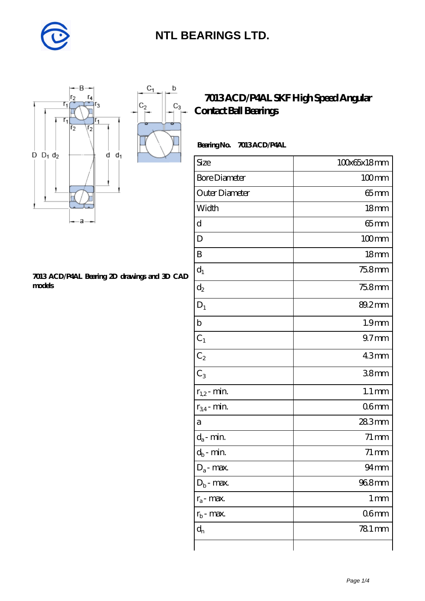

 $\mathbf b$ 

 $C_3$ 



#### **[7013 ACD/P4AL Bearing 2D drawings and 3D CAD](https://m.diabetesfriends.net/pic-590696.html) [models](https://m.diabetesfriends.net/pic-590696.html)**

### **[7013 ACD/P4AL SKF High Speed Angular](https://m.diabetesfriends.net/skf-bearing/7013-acd-p4al.html) [Contact Ball Bearings](https://m.diabetesfriends.net/skf-bearing/7013-acd-p4al.html)**

#### **Bearing No. 7013 ACD/P4AL**

| Size                       | 100x65x18mm         |
|----------------------------|---------------------|
| <b>Bore Diameter</b>       | $100$ mm            |
| Outer Diameter             | 65 mm               |
| Width                      | 18 <sub>mm</sub>    |
| d                          | $65$ mm             |
| D                          | $100$ mm            |
| B                          | 18 <sub>mm</sub>    |
| $d_1$                      | 75.8mm              |
| $\mathrm{d}_2$             | 75.8mm              |
| $D_1$                      | 89.2mm              |
| $\mathbf b$                | 1.9 <sub>mm</sub>   |
| $C_1$                      | 97 <sub>mm</sub>    |
| $C_2$                      | 43mm                |
| $C_3$                      | 38mm                |
| $r_{1,2}$ - min.           | $1.1 \,\mathrm{mm}$ |
| $r_{34}$ - min.            | 06 <sub>mm</sub>    |
| а                          | 283mm               |
| $d_a$ - min.               | $71 \,\mathrm{mm}$  |
| $d_b\operatorname{-} \min$ | $71 \,\mathrm{mm}$  |
| $D_a$ - max.               | $94$ mm             |
| $D_b$ - max.               | 968mm               |
| $r_a$ - max.               | $1 \,\mathrm{mm}$   |
| $r_{b}$ - max.             | 06mm                |
| $d_{n}$                    | 781 mm              |
|                            |                     |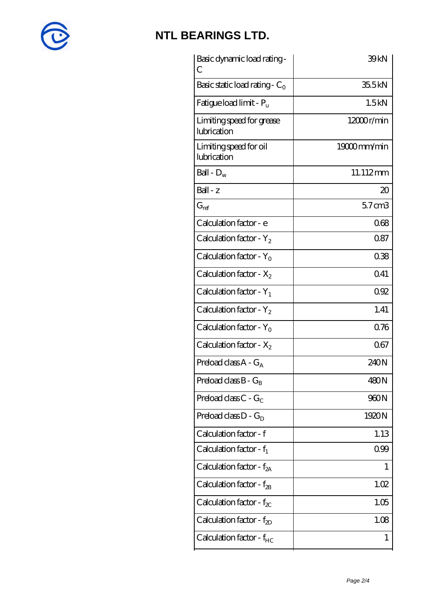

| Basic dynamic load rating -<br>С         | 39kN        |
|------------------------------------------|-------------|
| Basic static load rating - $C_0$         | 35.5kN      |
| Fatigue load limit - $P_u$               | 1.5kN       |
| Limiting speed for grease<br>lubrication | 12000r/min  |
| Limiting speed for oil<br>lubrication    | 19000mm/min |
| Ball - $D_w$                             | 11.112mm    |
| $Ball - z$                               | $\infty$    |
| $G_{ref}$                                | $57$ cm $3$ |
| Calculation factor - e                   | 068         |
| Calculation factor - $Y_2$               | 087         |
| Calculation factor - $Y_0$               | 038         |
| Calculation factor - $X_2$               | 0.41        |
| Calculation factor - $Y_1$               | 092         |
| Calculation factor - $Y_2$               | 1.41        |
| Calculation factor - $Y_0$               | 0.76        |
| Calculation factor - $X_2$               | 067         |
| Preload class $A - G_A$                  | 240N        |
| Preload class $B - G_B$                  | 480N        |
| Preload class $C - G_C$                  | 960N        |
| Preload class $D - G_D$                  | 1920N       |
| Calculation factor - f                   | 1.13        |
| Calculation factor - $f_1$               | 099         |
| Calculation factor - $f_{2A}$            | 1           |
| Calculation factor - $f_{2B}$            | 1.02        |
| Calculation factor - $f_{\chi}$          | 1.05        |
| Calculation factor - $f_{2D}$            | 1.08        |
| Calculation factor - $f_{HC}$            | 1           |
|                                          |             |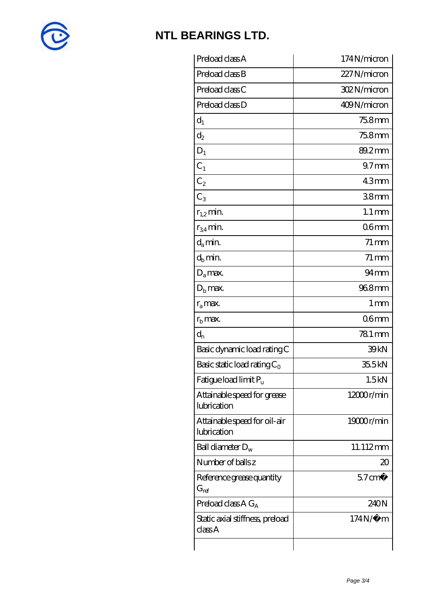

| Preload class A                             | 174N/micron         |
|---------------------------------------------|---------------------|
| Preload class B                             | 227 N/micron        |
| Preload class C                             | 302N/micron         |
| Preload class D                             | 409N/micron         |
| $d_1$                                       | 75.8mm              |
| $d_2$                                       | 75.8mm              |
| $D_1$                                       | 89.2mm              |
| $C_1$                                       | 97 <sub>mm</sub>    |
| $C_2$                                       | 43mm                |
| $C_3$                                       | 38 <sub>mm</sub>    |
| $r_{1,2}$ min.                              | $1.1 \,\mathrm{mm}$ |
| $r_{34}$ min.                               | 06 <sub>mm</sub>    |
| $d_a$ min.                                  | $71 \,\mathrm{mm}$  |
| $d_b$ min.                                  | $71 \,\mathrm{mm}$  |
| $D_a$ max.                                  | $94 \text{mm}$      |
| $Db$ max.                                   | 968mm               |
| $r_a$ max.                                  | 1 mm                |
| $r_{\rm b}$ max.                            | 06 <sub>mm</sub>    |
| $d_{n}$                                     | 781 mm              |
| Basic dynamic load rating C                 | 39 <sub>kN</sub>    |
| Basic static load rating $C_0$              | 35.5kN              |
| Fatigue load limit $P_u$                    | 1.5kN               |
| Attainable speed for grease<br>lubrication  | $12000$ r/min       |
| Attainable speed for oil-air<br>lubrication | 19000r/min          |
| Ball diameter $D_w$                         | 11.112mm            |
| Number of balls z                           | 20                  |
| Reference grease quantity<br>$G_{ref}$      | $57 \text{ cm}^3$   |
| Preload class A $G_A$                       | 240N                |
| Static axial stiffness, preload<br>classA   | $174N/\mu$ m        |
|                                             |                     |